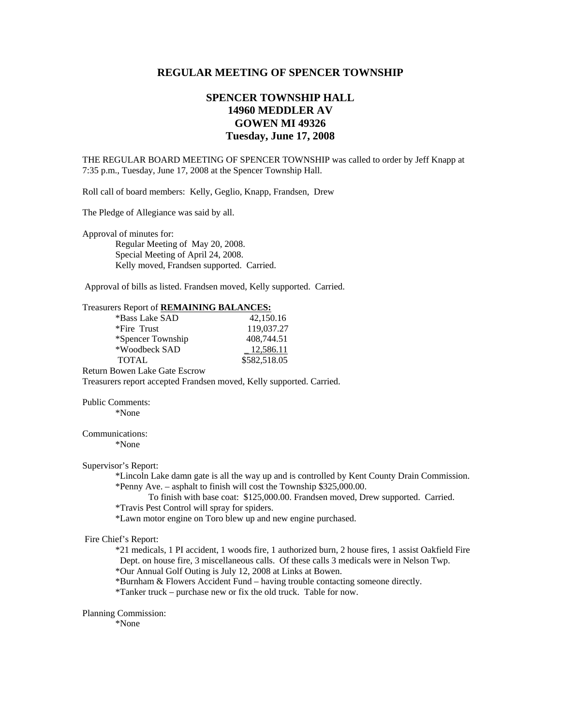## **REGULAR MEETING OF SPENCER TOWNSHIP**

# **SPENCER TOWNSHIP HALL 14960 MEDDLER AV GOWEN MI 49326 Tuesday, June 17, 2008**

THE REGULAR BOARD MEETING OF SPENCER TOWNSHIP was called to order by Jeff Knapp at 7:35 p.m., Tuesday, June 17, 2008 at the Spencer Township Hall.

Roll call of board members: Kelly, Geglio, Knapp, Frandsen, Drew

The Pledge of Allegiance was said by all.

Approval of minutes for:

 Regular Meeting of May 20, 2008. Special Meeting of April 24, 2008. Kelly moved, Frandsen supported. Carried.

Approval of bills as listed. Frandsen moved, Kelly supported. Carried.

### Treasurers Report of **REMAINING BALANCES:**

| *Bass Lake SAD    | 42,150.16    |
|-------------------|--------------|
| *Fire Trust       | 119,037.27   |
| *Spencer Township | 408.744.51   |
| *Woodbeck SAD     | 12.586.11    |
| <b>TOTAL</b>      | \$582,518.05 |

Return Bowen Lake Gate Escrow

Treasurers report accepted Frandsen moved, Kelly supported. Carried.

Public Comments:

\*None

Communications:

\*None

Supervisor's Report:

 \*Lincoln Lake damn gate is all the way up and is controlled by Kent County Drain Commission. \*Penny Ave. – asphalt to finish will cost the Township \$325,000.00.

 To finish with base coat: \$125,000.00. Frandsen moved, Drew supported. Carried. \*Travis Pest Control will spray for spiders.

\*Lawn motor engine on Toro blew up and new engine purchased.

### Fire Chief's Report:

 \*21 medicals, 1 PI accident, 1 woods fire, 1 authorized burn, 2 house fires, 1 assist Oakfield Fire Dept. on house fire, 3 miscellaneous calls. Of these calls 3 medicals were in Nelson Twp.

\*Our Annual Golf Outing is July 12, 2008 at Links at Bowen.

\*Burnham & Flowers Accident Fund – having trouble contacting someone directly.

\*Tanker truck – purchase new or fix the old truck. Table for now.

#### Planning Commission:

\*None